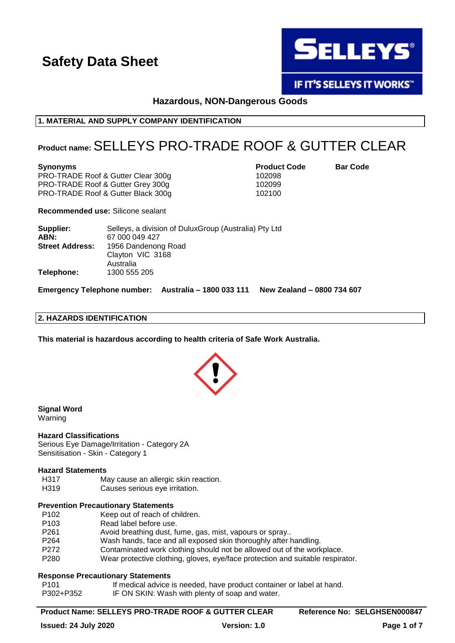

**Hazardous, NON-Dangerous Goods**

## **1. MATERIAL AND SUPPLY COMPANY IDENTIFICATION**

# **Product name:**SELLEYS PRO-TRADE ROOF & GUTTER CLEAR

**Synonyms Product Code Bar Code** PRO-TRADE Roof & Gutter Clear 300g 102098 PRO-TRADE Roof & Gutter Grey 300g 102099 PRO-TRADE Roof & Gutter Black 300g 102100

**Recommended use:** Silicone sealant

| Supplier:              | Selleys, a division of DuluxGroup (Australia) Pty Ltd |  |
|------------------------|-------------------------------------------------------|--|
| ABN:                   | 67 000 049 427                                        |  |
| <b>Street Address:</b> | 1956 Dandenong Road                                   |  |
|                        | Clayton VIC 3168                                      |  |
|                        | Australia                                             |  |
| Telephone:             | 1300 555 205                                          |  |

**Emergency Telephone number: Australia – 1800 033 111 New Zealand – 0800 734 607**

### **2. HAZARDS IDENTIFICATION**

**This material is hazardous according to health criteria of Safe Work Australia.**



# **Signal Word**

Warning

### **Hazard Classifications**

Serious Eye Damage/Irritation - Category 2A Sensitisation - Skin - Category 1

### **Hazard Statements**

H317 May cause an allergic skin reaction. H319 Causes serious eye irritation.

# **Prevention Precautionary Statements**

- P102 Keep out of reach of children.
- P103 Read label before use.
- P261 Avoid breathing dust, fume, gas, mist, vapours or spray..
- P264 Wash hands, face and all exposed skin thoroughly after handling.
- P272 Contaminated work clothing should not be allowed out of the workplace.
- P280 Wear protective clothing, gloves, eye/face protection and suitable respirator.

### **Response Precautionary Statements**

- P101 If medical advice is needed, have product container or label at hand.
- P302+P352 IF ON SKIN: Wash with plenty of soap and water.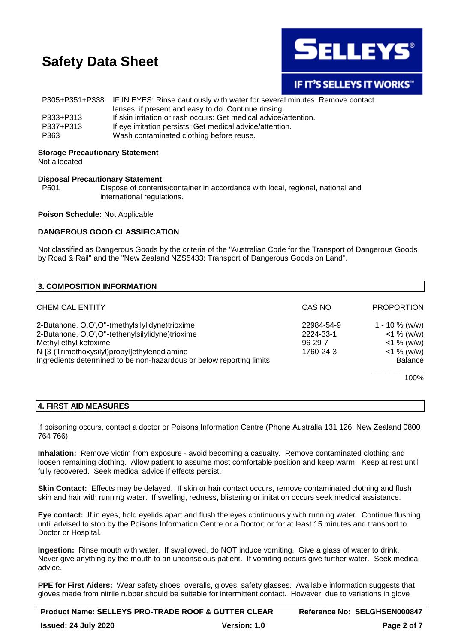

|           | P305+P351+P338 IF IN EYES: Rinse cautiously with water for several minutes. Remove contact<br>lenses, if present and easy to do. Continue rinsing. |
|-----------|----------------------------------------------------------------------------------------------------------------------------------------------------|
| P333+P313 | If skin irritation or rash occurs: Get medical advice/attention.                                                                                   |
| P337+P313 | If eye irritation persists: Get medical advice/attention.                                                                                          |
| P363      | Wash contaminated clothing before reuse.                                                                                                           |

## **Storage Precautionary Statement**

Not allocated

### **Disposal Precautionary Statement**

P501 Dispose of contents/container in accordance with local, regional, national and international regulations.

**Poison Schedule:** Not Applicable

## **DANGEROUS GOOD CLASSIFICATION**

Not classified as Dangerous Goods by the criteria of the "Australian Code for the Transport of Dangerous Goods by Road & Rail" and the "New Zealand NZS5433: Transport of Dangerous Goods on Land".

| 3. COMPOSITION INFORMATION                                           |               |                   |
|----------------------------------------------------------------------|---------------|-------------------|
| <b>CHEMICAL ENTITY</b>                                               | CAS NO        | <b>PROPORTION</b> |
| 2-Butanone, O,O',O"-(methylsilylidyne)trioxime                       | 22984-54-9    | $1 - 10 \%$ (w/w) |
| 2-Butanone, O,O',O"-(ethenylsilylidyne)trioxime                      | 2224-33-1     | $<$ 1 % (w/w)     |
| Methyl ethyl ketoxime                                                | $96 - 29 - 7$ | $<$ 1 % (w/w)     |
| N-[3-(Trimethoxysilyl)propyl]ethylenediamine                         | 1760-24-3     | $<$ 1 % (w/w)     |
| Ingredients determined to be non-hazardous or below reporting limits |               | <b>Balance</b>    |
|                                                                      |               | 100%              |

### **4. FIRST AID MEASURES**

If poisoning occurs, contact a doctor or Poisons Information Centre (Phone Australia 131 126, New Zealand 0800 764 766).

**Inhalation:** Remove victim from exposure - avoid becoming a casualty. Remove contaminated clothing and loosen remaining clothing. Allow patient to assume most comfortable position and keep warm. Keep at rest until fully recovered. Seek medical advice if effects persist.

**Skin Contact:** Effects may be delayed. If skin or hair contact occurs, remove contaminated clothing and flush skin and hair with running water. If swelling, redness, blistering or irritation occurs seek medical assistance.

**Eye contact:** If in eyes, hold eyelids apart and flush the eyes continuously with running water. Continue flushing until advised to stop by the Poisons Information Centre or a Doctor; or for at least 15 minutes and transport to Doctor or Hospital.

**Ingestion:** Rinse mouth with water. If swallowed, do NOT induce vomiting. Give a glass of water to drink. Never give anything by the mouth to an unconscious patient. If vomiting occurs give further water. Seek medical advice.

**PPE for First Aiders:** Wear safety shoes, overalls, gloves, safety glasses. Available information suggests that gloves made from nitrile rubber should be suitable for intermittent contact. However, due to variations in glove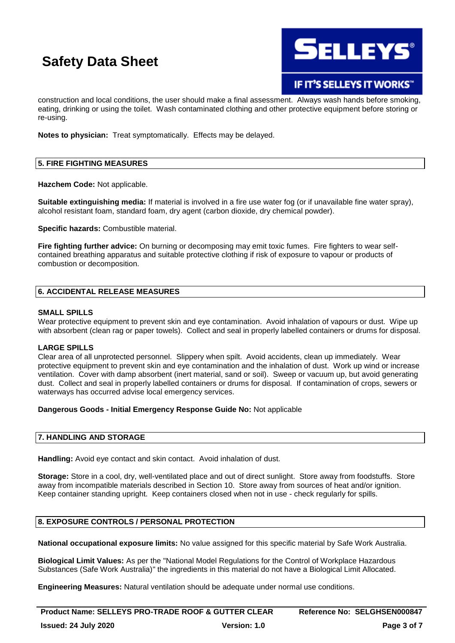

**IF IT'S SELLEYS IT WORKS"** 

construction and local conditions, the user should make a final assessment. Always wash hands before smoking, eating, drinking or using the toilet. Wash contaminated clothing and other protective equipment before storing or re-using.

**Notes to physician:** Treat symptomatically. Effects may be delayed.

## **5. FIRE FIGHTING MEASURES**

**Hazchem Code:** Not applicable.

**Suitable extinguishing media:** If material is involved in a fire use water fog (or if unavailable fine water spray), alcohol resistant foam, standard foam, dry agent (carbon dioxide, dry chemical powder).

**Specific hazards:** Combustible material.

**Fire fighting further advice:** On burning or decomposing may emit toxic fumes. Fire fighters to wear selfcontained breathing apparatus and suitable protective clothing if risk of exposure to vapour or products of combustion or decomposition.

## **6. ACCIDENTAL RELEASE MEASURES**

### **SMALL SPILLS**

Wear protective equipment to prevent skin and eye contamination. Avoid inhalation of vapours or dust. Wipe up with absorbent (clean rag or paper towels). Collect and seal in properly labelled containers or drums for disposal.

### **LARGE SPILLS**

Clear area of all unprotected personnel. Slippery when spilt. Avoid accidents, clean up immediately. Wear protective equipment to prevent skin and eye contamination and the inhalation of dust. Work up wind or increase ventilation. Cover with damp absorbent (inert material, sand or soil). Sweep or vacuum up, but avoid generating dust. Collect and seal in properly labelled containers or drums for disposal. If contamination of crops, sewers or waterways has occurred advise local emergency services.

### **Dangerous Goods - Initial Emergency Response Guide No:** Not applicable

### **7. HANDLING AND STORAGE**

**Handling:** Avoid eye contact and skin contact. Avoid inhalation of dust.

**Storage:** Store in a cool, dry, well-ventilated place and out of direct sunlight. Store away from foodstuffs. Store away from incompatible materials described in Section 10. Store away from sources of heat and/or ignition. Keep container standing upright. Keep containers closed when not in use - check regularly for spills.

## **8. EXPOSURE CONTROLS / PERSONAL PROTECTION**

**National occupational exposure limits:** No value assigned for this specific material by Safe Work Australia.

**Biological Limit Values:** As per the "National Model Regulations for the Control of Workplace Hazardous Substances (Safe Work Australia)" the ingredients in this material do not have a Biological Limit Allocated.

**Engineering Measures:** Natural ventilation should be adequate under normal use conditions.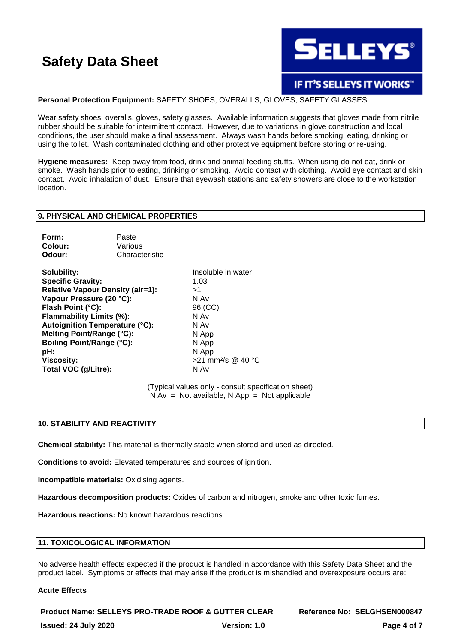

# **IF IT'S SELLEYS IT WORKS"**

# **Personal Protection Equipment:** SAFETY SHOES, OVERALLS, GLOVES, SAFETY GLASSES.

Wear safety shoes, overalls, gloves, safety glasses. Available information suggests that gloves made from nitrile rubber should be suitable for intermittent contact. However, due to variations in glove construction and local conditions, the user should make a final assessment. Always wash hands before smoking, eating, drinking or using the toilet. Wash contaminated clothing and other protective equipment before storing or re-using.

**Hygiene measures:** Keep away from food, drink and animal feeding stuffs. When using do not eat, drink or smoke. Wash hands prior to eating, drinking or smoking. Avoid contact with clothing. Avoid eye contact and skin contact. Avoid inhalation of dust. Ensure that eyewash stations and safety showers are close to the workstation location.

### **9. PHYSICAL AND CHEMICAL PROPERTIES**

| Form:   | Paste          |
|---------|----------------|
| Colour: | Various        |
| Odour:  | Characteristic |

**Solubility:** Insoluble in water **Specific Gravity:** 1.03 **Relative Vapour Density (air=1):** >1<br> **Vapour Pressure (20 °C):** N Av Vapour Pressure (20 °C): **Flash Point (°C):** 96 (CC) **Flammability Limits (%):** N Av **Autoignition Temperature (°C):** N Av **Melting Point/Range (°C):** N App **Boiling Point/Range (°C):** N App **pH:** N App **Total VOC (g/Litre):** N Av

**Viscosity:** >21 mm²/s @ 40 °C

(Typical values only - consult specification sheet)  $N Av = Not available, N App = Not applicable$ 

### **10. STABILITY AND REACTIVITY**

**Chemical stability:** This material is thermally stable when stored and used as directed.

**Conditions to avoid:** Elevated temperatures and sources of ignition.

**Incompatible materials:** Oxidising agents.

**Hazardous decomposition products:** Oxides of carbon and nitrogen, smoke and other toxic fumes.

**Hazardous reactions:** No known hazardous reactions.

### **11. TOXICOLOGICAL INFORMATION**

No adverse health effects expected if the product is handled in accordance with this Safety Data Sheet and the product label. Symptoms or effects that may arise if the product is mishandled and overexposure occurs are:

#### **Acute Effects**

**Product Name: SELLEYS PRO-TRADE ROOF & GUTTER CLEAR Reference No: SELGHSEN000847 Issued: 24 July 2020 Version: 1.0 Page 4 of 7**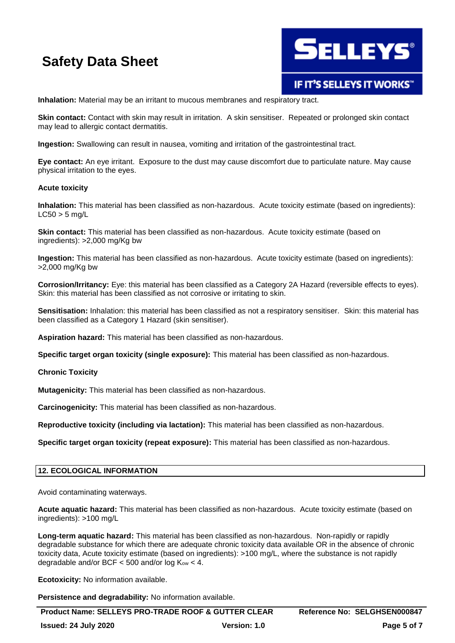

**Inhalation:** Material may be an irritant to mucous membranes and respiratory tract.

**Skin contact:** Contact with skin may result in irritation. A skin sensitiser. Repeated or prolonged skin contact may lead to allergic contact dermatitis.

**Ingestion:** Swallowing can result in nausea, vomiting and irritation of the gastrointestinal tract.

**Eye contact:** An eye irritant. Exposure to the dust may cause discomfort due to particulate nature. May cause physical irritation to the eyes.

### **Acute toxicity**

**Inhalation:** This material has been classified as non-hazardous. Acute toxicity estimate (based on ingredients):  $LC50 > 5$  ma/L

**Skin contact:** This material has been classified as non-hazardous. Acute toxicity estimate (based on ingredients): >2,000 mg/Kg bw

**Ingestion:** This material has been classified as non-hazardous. Acute toxicity estimate (based on ingredients): >2,000 mg/Kg bw

**Corrosion/Irritancy:** Eye: this material has been classified as a Category 2A Hazard (reversible effects to eyes). Skin: this material has been classified as not corrosive or irritating to skin.

**Sensitisation:** Inhalation: this material has been classified as not a respiratory sensitiser. Skin: this material has been classified as a Category 1 Hazard (skin sensitiser).

**Aspiration hazard:** This material has been classified as non-hazardous.

**Specific target organ toxicity (single exposure):** This material has been classified as non-hazardous.

**Chronic Toxicity**

**Mutagenicity:** This material has been classified as non-hazardous.

**Carcinogenicity:** This material has been classified as non-hazardous.

**Reproductive toxicity (including via lactation):** This material has been classified as non-hazardous.

**Specific target organ toxicity (repeat exposure):** This material has been classified as non-hazardous.

## **12. ECOLOGICAL INFORMATION**

Avoid contaminating waterways.

**Acute aquatic hazard:** This material has been classified as non-hazardous. Acute toxicity estimate (based on ingredients): >100 mg/L

**Long-term aquatic hazard:** This material has been classified as non-hazardous. Non-rapidly or rapidly degradable substance for which there are adequate chronic toxicity data available OR in the absence of chronic toxicity data, Acute toxicity estimate (based on ingredients): >100 mg/L, where the substance is not rapidly degradable and/or BCF  $<$  500 and/or log  $K_{ow}$   $<$  4.

**Ecotoxicity:** No information available.

**Persistence and degradability:** No information available.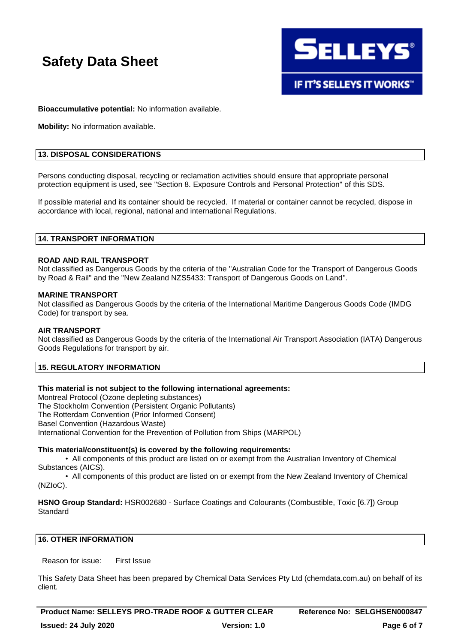

**IF IT'S SELLEYS IT WORKS"** 

**Bioaccumulative potential:** No information available.

**Mobility:** No information available.

## **13. DISPOSAL CONSIDERATIONS**

Persons conducting disposal, recycling or reclamation activities should ensure that appropriate personal protection equipment is used, see "Section 8. Exposure Controls and Personal Protection" of this SDS.

If possible material and its container should be recycled. If material or container cannot be recycled, dispose in accordance with local, regional, national and international Regulations.

### **14. TRANSPORT INFORMATION**

### **ROAD AND RAIL TRANSPORT**

Not classified as Dangerous Goods by the criteria of the "Australian Code for the Transport of Dangerous Goods by Road & Rail" and the "New Zealand NZS5433: Transport of Dangerous Goods on Land".

### **MARINE TRANSPORT**

Not classified as Dangerous Goods by the criteria of the International Maritime Dangerous Goods Code (IMDG Code) for transport by sea.

### **AIR TRANSPORT**

Not classified as Dangerous Goods by the criteria of the International Air Transport Association (IATA) Dangerous Goods Regulations for transport by air.

## **15. REGULATORY INFORMATION**

## **This material is not subject to the following international agreements:**

Montreal Protocol (Ozone depleting substances) The Stockholm Convention (Persistent Organic Pollutants) The Rotterdam Convention (Prior Informed Consent) Basel Convention (Hazardous Waste) International Convention for the Prevention of Pollution from Ships (MARPOL)

**This material/constituent(s) is covered by the following requirements:**

• All components of this product are listed on or exempt from the Australian Inventory of Chemical Substances (AICS).

• All components of this product are listed on or exempt from the New Zealand Inventory of Chemical (NZIoC).

**HSNO Group Standard:** HSR002680 - Surface Coatings and Colourants (Combustible, Toxic [6.7]) Group **Standard** 

### **16. OTHER INFORMATION**

Reason for issue: First Issue

This Safety Data Sheet has been prepared by Chemical Data Services Pty Ltd (chemdata.com.au) on behalf of its client.